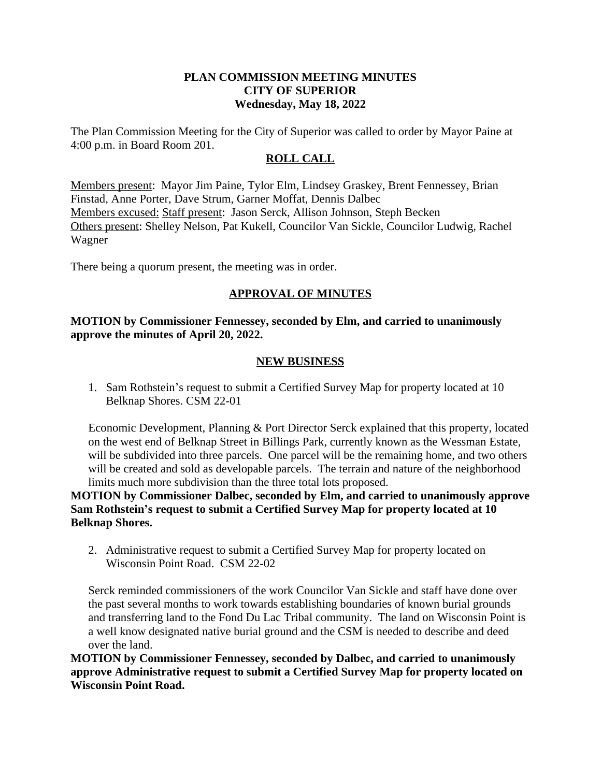#### **PLAN COMMISSION MEETING MINUTES CITY OF SUPERIOR Wednesday, May 18, 2022**

The Plan Commission Meeting for the City of Superior was called to order by Mayor Paine at 4:00 p.m. in Board Room 201.

#### **ROLL CALL**

Members present: Mayor Jim Paine, Tylor Elm, Lindsey Graskey, Brent Fennessey, Brian Finstad, Anne Porter, Dave Strum, Garner Moffat, Dennis Dalbec Members excused: Staff present: Jason Serck, Allison Johnson, Steph Becken Others present: Shelley Nelson, Pat Kukell, Councilor Van Sickle, Councilor Ludwig, Rachel Wagner

There being a quorum present, the meeting was in order.

## **APPROVAL OF MINUTES**

## **MOTION by Commissioner Fennessey, seconded by Elm, and carried to unanimously approve the minutes of April 20, 2022.**

#### **NEW BUSINESS**

1. Sam Rothstein's request to submit a Certified Survey Map for property located at 10 Belknap Shores. CSM 22-01

Economic Development, Planning & Port Director Serck explained that this property, located on the west end of Belknap Street in Billings Park, currently known as the Wessman Estate, will be subdivided into three parcels. One parcel will be the remaining home, and two others will be created and sold as developable parcels. The terrain and nature of the neighborhood limits much more subdivision than the three total lots proposed.

**MOTION by Commissioner Dalbec, seconded by Elm, and carried to unanimously approve Sam Rothstein's request to submit a Certified Survey Map for property located at 10 Belknap Shores.** 

2. Administrative request to submit a Certified Survey Map for property located on Wisconsin Point Road. CSM 22-02

Serck reminded commissioners of the work Councilor Van Sickle and staff have done over the past several months to work towards establishing boundaries of known burial grounds and transferring land to the Fond Du Lac Tribal community. The land on Wisconsin Point is a well know designated native burial ground and the CSM is needed to describe and deed over the land.

**MOTION by Commissioner Fennessey, seconded by Dalbec, and carried to unanimously approve Administrative request to submit a Certified Survey Map for property located on Wisconsin Point Road.**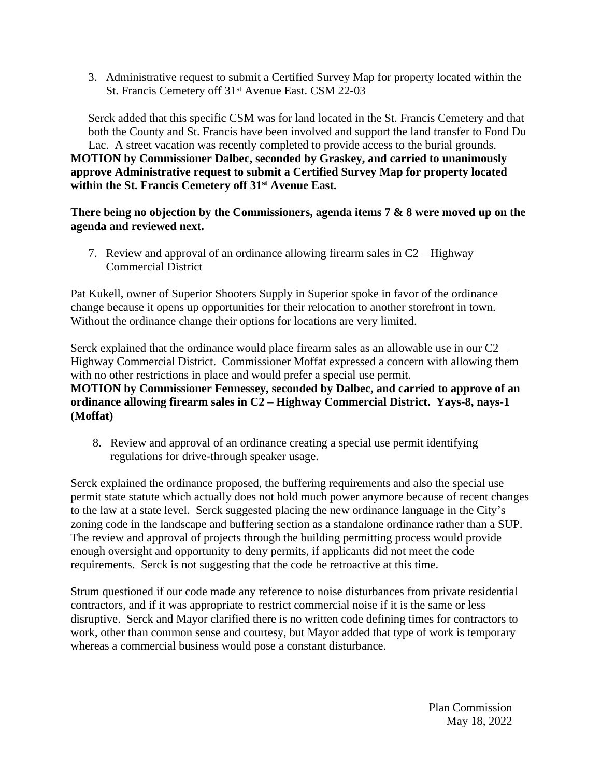3. Administrative request to submit a Certified Survey Map for property located within the St. Francis Cemetery off 31st Avenue East. CSM 22-03

Serck added that this specific CSM was for land located in the St. Francis Cemetery and that both the County and St. Francis have been involved and support the land transfer to Fond Du Lac. A street vacation was recently completed to provide access to the burial grounds. **MOTION by Commissioner Dalbec, seconded by Graskey, and carried to unanimously approve Administrative request to submit a Certified Survey Map for property located within the St. Francis Cemetery off 31st Avenue East.**

**There being no objection by the Commissioners, agenda items 7 & 8 were moved up on the agenda and reviewed next.**

7. Review and approval of an ordinance allowing firearm sales in C2 – Highway Commercial District

Pat Kukell, owner of Superior Shooters Supply in Superior spoke in favor of the ordinance change because it opens up opportunities for their relocation to another storefront in town. Without the ordinance change their options for locations are very limited.

Serck explained that the ordinance would place firearm sales as an allowable use in our C2 – Highway Commercial District. Commissioner Moffat expressed a concern with allowing them with no other restrictions in place and would prefer a special use permit. **MOTION by Commissioner Fennessey, seconded by Dalbec, and carried to approve of an ordinance allowing firearm sales in C2 – Highway Commercial District. Yays-8, nays-1 (Moffat)**

8. Review and approval of an ordinance creating a special use permit identifying regulations for drive-through speaker usage.

Serck explained the ordinance proposed, the buffering requirements and also the special use permit state statute which actually does not hold much power anymore because of recent changes to the law at a state level. Serck suggested placing the new ordinance language in the City's zoning code in the landscape and buffering section as a standalone ordinance rather than a SUP. The review and approval of projects through the building permitting process would provide enough oversight and opportunity to deny permits, if applicants did not meet the code requirements. Serck is not suggesting that the code be retroactive at this time.

Strum questioned if our code made any reference to noise disturbances from private residential contractors, and if it was appropriate to restrict commercial noise if it is the same or less disruptive. Serck and Mayor clarified there is no written code defining times for contractors to work, other than common sense and courtesy, but Mayor added that type of work is temporary whereas a commercial business would pose a constant disturbance.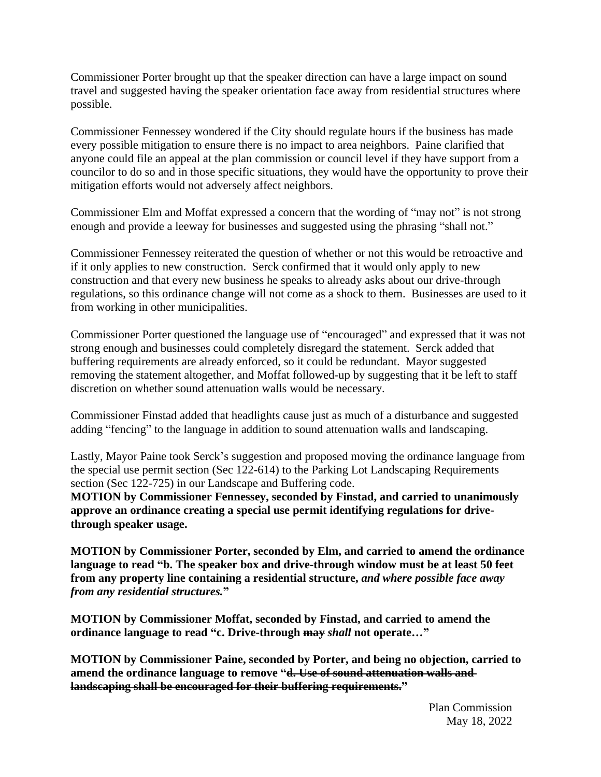Commissioner Porter brought up that the speaker direction can have a large impact on sound travel and suggested having the speaker orientation face away from residential structures where possible.

Commissioner Fennessey wondered if the City should regulate hours if the business has made every possible mitigation to ensure there is no impact to area neighbors. Paine clarified that anyone could file an appeal at the plan commission or council level if they have support from a councilor to do so and in those specific situations, they would have the opportunity to prove their mitigation efforts would not adversely affect neighbors.

Commissioner Elm and Moffat expressed a concern that the wording of "may not" is not strong enough and provide a leeway for businesses and suggested using the phrasing "shall not."

Commissioner Fennessey reiterated the question of whether or not this would be retroactive and if it only applies to new construction. Serck confirmed that it would only apply to new construction and that every new business he speaks to already asks about our drive-through regulations, so this ordinance change will not come as a shock to them. Businesses are used to it from working in other municipalities.

Commissioner Porter questioned the language use of "encouraged" and expressed that it was not strong enough and businesses could completely disregard the statement. Serck added that buffering requirements are already enforced, so it could be redundant. Mayor suggested removing the statement altogether, and Moffat followed-up by suggesting that it be left to staff discretion on whether sound attenuation walls would be necessary.

Commissioner Finstad added that headlights cause just as much of a disturbance and suggested adding "fencing" to the language in addition to sound attenuation walls and landscaping.

Lastly, Mayor Paine took Serck's suggestion and proposed moving the ordinance language from the special use permit section (Sec 122-614) to the Parking Lot Landscaping Requirements section (Sec 122-725) in our Landscape and Buffering code.

**MOTION by Commissioner Fennessey, seconded by Finstad, and carried to unanimously approve an ordinance creating a special use permit identifying regulations for drivethrough speaker usage.**

**MOTION by Commissioner Porter, seconded by Elm, and carried to amend the ordinance language to read "b. The speaker box and drive-through window must be at least 50 feet from any property line containing a residential structure,** *and where possible face away from any residential structures.***"**

**MOTION by Commissioner Moffat, seconded by Finstad, and carried to amend the ordinance language to read "c. Drive-through may** *shall* **not operate…"**

**MOTION by Commissioner Paine, seconded by Porter, and being no objection, carried to amend the ordinance language to remove "d. Use of sound attenuation walls and landscaping shall be encouraged for their buffering requirements."**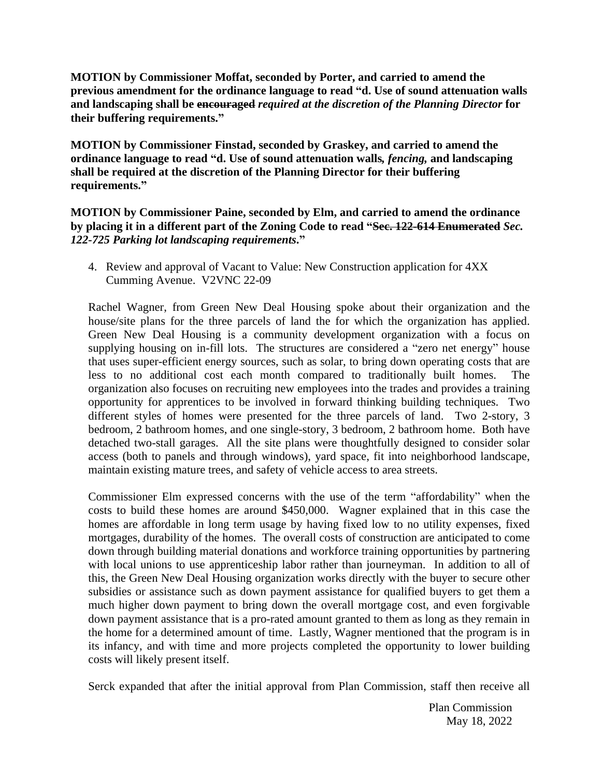**MOTION by Commissioner Moffat, seconded by Porter, and carried to amend the previous amendment for the ordinance language to read "d. Use of sound attenuation walls and landscaping shall be encouraged** *required at the discretion of the Planning Director* **for their buffering requirements."**

**MOTION by Commissioner Finstad, seconded by Graskey, and carried to amend the ordinance language to read "d. Use of sound attenuation walls***, fencing,* **and landscaping shall be required at the discretion of the Planning Director for their buffering requirements."**

**MOTION by Commissioner Paine, seconded by Elm, and carried to amend the ordinance by placing it in a different part of the Zoning Code to read "Sec. 122-614 Enumerated** *Sec. 122-725 Parking lot landscaping requirements***."**

4. Review and approval of Vacant to Value: New Construction application for 4XX Cumming Avenue. V2VNC 22-09

Rachel Wagner, from Green New Deal Housing spoke about their organization and the house/site plans for the three parcels of land the for which the organization has applied. Green New Deal Housing is a community development organization with a focus on supplying housing on in-fill lots. The structures are considered a "zero net energy" house that uses super-efficient energy sources, such as solar, to bring down operating costs that are less to no additional cost each month compared to traditionally built homes. The organization also focuses on recruiting new employees into the trades and provides a training opportunity for apprentices to be involved in forward thinking building techniques. Two different styles of homes were presented for the three parcels of land. Two 2-story, 3 bedroom, 2 bathroom homes, and one single-story, 3 bedroom, 2 bathroom home. Both have detached two-stall garages. All the site plans were thoughtfully designed to consider solar access (both to panels and through windows), yard space, fit into neighborhood landscape, maintain existing mature trees, and safety of vehicle access to area streets.

Commissioner Elm expressed concerns with the use of the term "affordability" when the costs to build these homes are around \$450,000. Wagner explained that in this case the homes are affordable in long term usage by having fixed low to no utility expenses, fixed mortgages, durability of the homes. The overall costs of construction are anticipated to come down through building material donations and workforce training opportunities by partnering with local unions to use apprenticeship labor rather than journeyman. In addition to all of this, the Green New Deal Housing organization works directly with the buyer to secure other subsidies or assistance such as down payment assistance for qualified buyers to get them a much higher down payment to bring down the overall mortgage cost, and even forgivable down payment assistance that is a pro-rated amount granted to them as long as they remain in the home for a determined amount of time. Lastly, Wagner mentioned that the program is in its infancy, and with time and more projects completed the opportunity to lower building costs will likely present itself.

Serck expanded that after the initial approval from Plan Commission, staff then receive all

Plan Commission May 18, 2022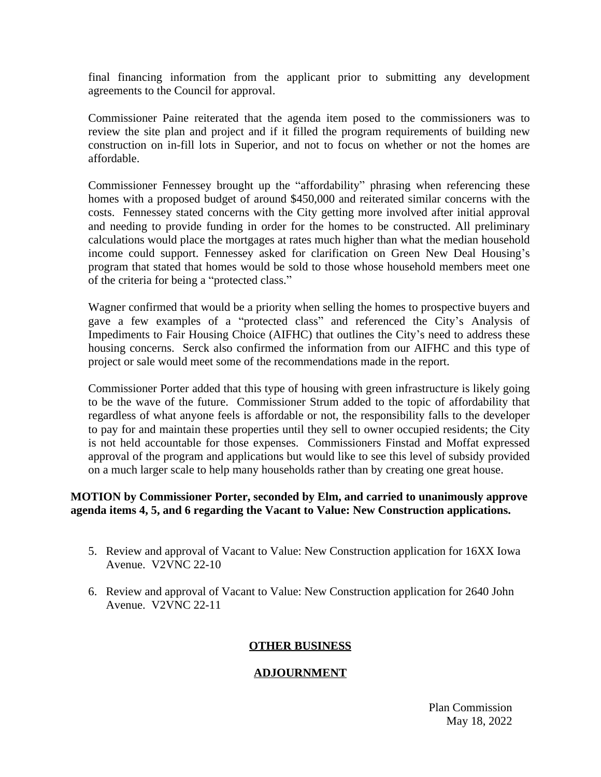final financing information from the applicant prior to submitting any development agreements to the Council for approval.

Commissioner Paine reiterated that the agenda item posed to the commissioners was to review the site plan and project and if it filled the program requirements of building new construction on in-fill lots in Superior, and not to focus on whether or not the homes are affordable.

Commissioner Fennessey brought up the "affordability" phrasing when referencing these homes with a proposed budget of around \$450,000 and reiterated similar concerns with the costs. Fennessey stated concerns with the City getting more involved after initial approval and needing to provide funding in order for the homes to be constructed. All preliminary calculations would place the mortgages at rates much higher than what the median household income could support. Fennessey asked for clarification on Green New Deal Housing's program that stated that homes would be sold to those whose household members meet one of the criteria for being a "protected class."

Wagner confirmed that would be a priority when selling the homes to prospective buyers and gave a few examples of a "protected class" and referenced the City's Analysis of Impediments to Fair Housing Choice (AIFHC) that outlines the City's need to address these housing concerns. Serck also confirmed the information from our AIFHC and this type of project or sale would meet some of the recommendations made in the report.

Commissioner Porter added that this type of housing with green infrastructure is likely going to be the wave of the future. Commissioner Strum added to the topic of affordability that regardless of what anyone feels is affordable or not, the responsibility falls to the developer to pay for and maintain these properties until they sell to owner occupied residents; the City is not held accountable for those expenses. Commissioners Finstad and Moffat expressed approval of the program and applications but would like to see this level of subsidy provided on a much larger scale to help many households rather than by creating one great house.

#### **MOTION by Commissioner Porter, seconded by Elm, and carried to unanimously approve agenda items 4, 5, and 6 regarding the Vacant to Value: New Construction applications.**

- 5. Review and approval of Vacant to Value: New Construction application for 16XX Iowa Avenue. V2VNC 22-10
- 6. Review and approval of Vacant to Value: New Construction application for 2640 John Avenue. V2VNC 22-11

## **OTHER BUSINESS**

## **ADJOURNMENT**